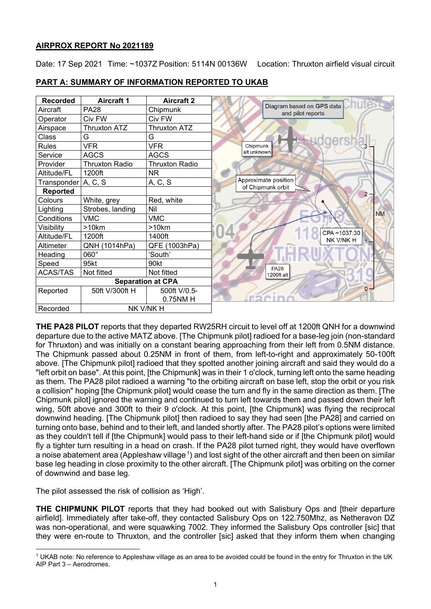## **AIRPROX REPORT No 2021189**

Date: 17 Sep 2021 Time: ~1037Z Position: 5114N 00136W Location: Thruxton airfield visual circuit

| <b>Recorded</b>          | <b>Aircraft 1</b>     | <b>Aircraft 2</b>     |                                                |
|--------------------------|-----------------------|-----------------------|------------------------------------------------|
| Aircraft                 | <b>PA28</b>           | Chipmunk              | Diagram based on GPS data<br>and pilot reports |
| Operator                 | Civ FW                | Civ FW                |                                                |
| Airspace                 | <b>Thruxton ATZ</b>   | <b>Thruxton ATZ</b>   |                                                |
| Class                    | G                     | G                     |                                                |
| <b>Rules</b>             | <b>VFR</b>            | <b>VFR</b>            | Chipmunk                                       |
| Service                  | <b>AGCS</b>           | <b>AGCS</b>           | alt unknown                                    |
| Provider                 | <b>Thruxton Radio</b> | <b>Thruxton Radio</b> |                                                |
| Altitude/FL              | 1200ft                | NR.                   |                                                |
| Transponder A, C, S      |                       | A, C, S               | Approximate position                           |
| <b>Reported</b>          |                       |                       | of Chipmunk orbit<br>$2 -$                     |
| Colours                  | White, grey           | Red, white            |                                                |
| Lighting                 | Strobes, landing      | Nil                   | <b>NM</b>                                      |
| Conditions               | <b>VMC</b>            | <b>VMC</b>            |                                                |
| Visibility               | >10km                 | >10km                 |                                                |
| Altitude/FL              | 1200ft                | 1400ft                | CPA~1037:30<br>NK V/NK H                       |
| Altimeter                | QNH (1014hPa)         | QFE (1003hPa)         |                                                |
| Heading                  | 060°                  | 'South'               |                                                |
| Speed                    | 95kt                  | 90kt                  | <b>PA28</b>                                    |
| <b>ACAS/TAS</b>          | Not fitted            | Not fitted            | 1200ft alt                                     |
| <b>Separation at CPA</b> |                       |                       |                                                |
| Reported                 | 50ft V/300ft H        | 500ft V/0.5-          | $^{\circ}$                                     |
|                          |                       | 0.75NM H              |                                                |
| Recorded                 | NK V/NK H             |                       |                                                |

## **PART A: SUMMARY OF INFORMATION REPORTED TO UKAB**

**THE PA28 PILOT** reports that they departed RW25RH circuit to level off at 1200ft QNH for a downwind departure due to the active MATZ above. [The Chipmunk pilot] radioed for a base-leg join (non-standard for Thruxton) and was initially on a constant bearing approaching from their left from 0.5NM distance. The Chipmunk passed about 0.25NM in front of them, from left-to-right and approximately 50-100ft above. [The Chipmunk pilot] radioed that they spotted another joining aircraft and said they would do a "left orbit on base". At this point, [the Chipmunk] was in their 1 o'clock, turning left onto the same heading as them. The PA28 pilot radioed a warning "to the orbiting aircraft on base left, stop the orbit or you risk a collision" hoping [the Chipmunk pilot] would cease the turn and fly in the same direction as them. [The Chipmunk pilot] ignored the warning and continued to turn left towards them and passed down their left wing, 50ft above and 300ft to their 9 o'clock. At this point, [the Chipmunk] was flying the reciprocal downwind heading. [The Chipmunk pilot] then radioed to say they had seen [the PA28] and carried on turning onto base, behind and to their left, and landed shortly after. The PA28 pilot's options were limited as they couldn't tell if [the Chipmunk] would pass to their left-hand side or if [the Chipmunk pilot] would fly a tighter turn resulting in a head on crash. If the PA28 pilot turned right, they would have overflown a noise abatement area (Appleshaw village  $^1$  $^1$ ) and lost sight of the other aircraft and then been on similar base leg heading in close proximity to the other aircraft. [The Chipmunk pilot] was orbiting on the corner of downwind and base leg.

The pilot assessed the risk of collision as 'High'.

**THE CHIPMUNK PILOT** reports that they had booked out with Salisbury Ops and [their departure airfield]. Immediately after take-off, they contacted Salisbury Ops on 122.750Mhz, as Netheravon DZ was non-operational, and were squawking 7002. They informed the Salisbury Ops controller [sic] that they were en-route to Thruxton, and the controller [sic] asked that they inform them when changing

<span id="page-0-0"></span><sup>1</sup> UKAB note: No reference to Appleshaw village as an area to be avoided could be found in the entry for Thruxton in the UK AIP Part 3 – Aerodromes.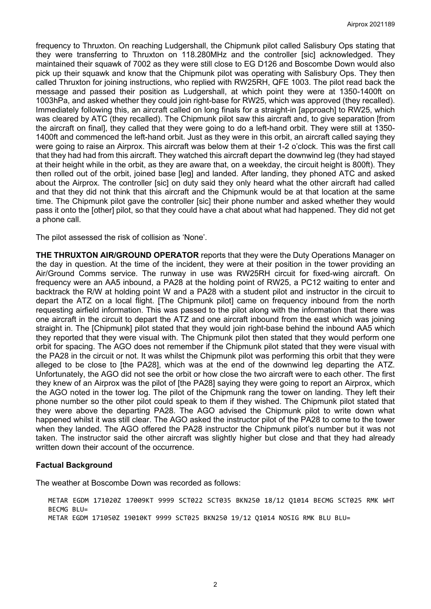frequency to Thruxton. On reaching Ludgershall, the Chipmunk pilot called Salisbury Ops stating that they were transferring to Thruxton on 118.280MHz and the controller [sic] acknowledged. They maintained their squawk of 7002 as they were still close to EG D126 and Boscombe Down would also pick up their squawk and know that the Chipmunk pilot was operating with Salisbury Ops. They then called Thruxton for joining instructions, who replied with RW25RH, QFE 1003. The pilot read back the message and passed their position as Ludgershall, at which point they were at 1350-1400ft on 1003hPa, and asked whether they could join right-base for RW25, which was approved (they recalled). Immediately following this, an aircraft called on long finals for a straight-in [approach] to RW25, which was cleared by ATC (they recalled). The Chipmunk pilot saw this aircraft and, to give separation [from the aircraft on final], they called that they were going to do a left-hand orbit. They were still at 1350- 1400ft and commenced the left-hand orbit. Just as they were in this orbit, an aircraft called saying they were going to raise an Airprox. This aircraft was below them at their 1-2 o'clock. This was the first call that they had had from this aircraft. They watched this aircraft depart the downwind leg (they had stayed at their height while in the orbit, as they are aware that, on a weekday, the circuit height is 800ft). They then rolled out of the orbit, joined base [leg] and landed. After landing, they phoned ATC and asked about the Airprox. The controller [sic] on duty said they only heard what the other aircraft had called and that they did not think that this aircraft and the Chipmunk would be at that location at the same time. The Chipmunk pilot gave the controller [sic] their phone number and asked whether they would pass it onto the [other] pilot, so that they could have a chat about what had happened. They did not get a phone call.

The pilot assessed the risk of collision as 'None'.

**THE THRUXTON AIR/GROUND OPERATOR** reports that they were the Duty Operations Manager on the day in question. At the time of the incident, they were at their position in the tower providing an Air/Ground Comms service. The runway in use was RW25RH circuit for fixed-wing aircraft. On frequency were an AA5 inbound, a PA28 at the holding point of RW25, a PC12 waiting to enter and backtrack the R/W at holding point W and a PA28 with a student pilot and instructor in the circuit to depart the ATZ on a local flight. [The Chipmunk pilot] came on frequency inbound from the north requesting airfield information. This was passed to the pilot along with the information that there was one aircraft in the circuit to depart the ATZ and one aircraft inbound from the east which was joining straight in. The [Chipmunk] pilot stated that they would join right-base behind the inbound AA5 which they reported that they were visual with. The Chipmunk pilot then stated that they would perform one orbit for spacing. The AGO does not remember if the Chipmunk pilot stated that they were visual with the PA28 in the circuit or not. It was whilst the Chipmunk pilot was performing this orbit that they were alleged to be close to [the PA28], which was at the end of the downwind leg departing the ATZ. Unfortunately, the AGO did not see the orbit or how close the two aircraft were to each other. The first they knew of an Airprox was the pilot of [the PA28] saying they were going to report an Airprox, which the AGO noted in the tower log. The pilot of the Chipmunk rang the tower on landing. They left their phone number so the other pilot could speak to them if they wished. The Chipmunk pilot stated that they were above the departing PA28. The AGO advised the Chipmunk pilot to write down what happened whilst it was still clear. The AGO asked the instructor pilot of the PA28 to come to the tower when they landed. The AGO offered the PA28 instructor the Chipmunk pilot's number but it was not taken. The instructor said the other aircraft was slightly higher but close and that they had already written down their account of the occurrence.

#### **Factual Background**

The weather at Boscombe Down was recorded as follows:

METAR EGDM 171020Z 17009KT 9999 SCT022 SCT035 BKN250 18/12 Q1014 BECMG SCT025 RMK WHT BECMG BLU= METAR EGDM 171050Z 19010KT 9999 SCT025 BKN250 19/12 Q1014 NOSIG RMK BLU BLU=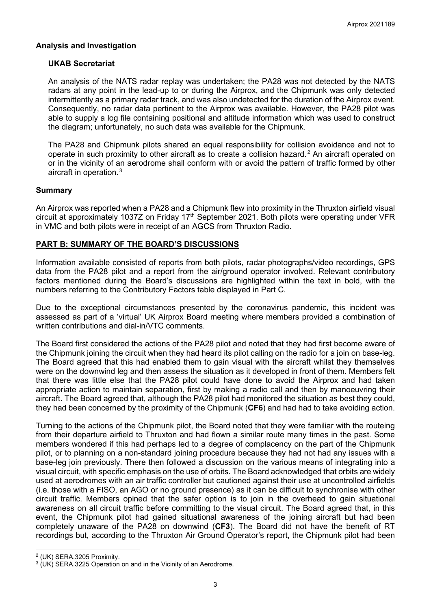### **Analysis and Investigation**

### **UKAB Secretariat**

An analysis of the NATS radar replay was undertaken; the PA28 was not detected by the NATS radars at any point in the lead-up to or during the Airprox, and the Chipmunk was only detected intermittently as a primary radar track, and was also undetected for the duration of the Airprox event. Consequently, no radar data pertinent to the Airprox was available. However, the PA28 pilot was able to supply a log file containing positional and altitude information which was used to construct the diagram; unfortunately, no such data was available for the Chipmunk.

The PA28 and Chipmunk pilots shared an equal responsibility for collision avoidance and not to operate in such proximity to other aircraft as to create a collision hazard. [2](#page-2-0) An aircraft operated on or in the vicinity of an aerodrome shall conform with or avoid the pattern of traffic formed by other aircraft in operation. [3](#page-2-1)

### **Summary**

An Airprox was reported when a PA28 and a Chipmunk flew into proximity in the Thruxton airfield visual circuit at approximately 1037Z on Friday 17<sup>th</sup> September 2021. Both pilots were operating under VFR in VMC and both pilots were in receipt of an AGCS from Thruxton Radio.

### **PART B: SUMMARY OF THE BOARD'S DISCUSSIONS**

Information available consisted of reports from both pilots, radar photographs/video recordings, GPS data from the PA28 pilot and a report from the air/ground operator involved. Relevant contributory factors mentioned during the Board's discussions are highlighted within the text in bold, with the numbers referring to the Contributory Factors table displayed in Part C.

Due to the exceptional circumstances presented by the coronavirus pandemic, this incident was assessed as part of a 'virtual' UK Airprox Board meeting where members provided a combination of written contributions and dial-in/VTC comments.

The Board first considered the actions of the PA28 pilot and noted that they had first become aware of the Chipmunk joining the circuit when they had heard its pilot calling on the radio for a join on base-leg. The Board agreed that this had enabled them to gain visual with the aircraft whilst they themselves were on the downwind leg and then assess the situation as it developed in front of them. Members felt that there was little else that the PA28 pilot could have done to avoid the Airprox and had taken appropriate action to maintain separation, first by making a radio call and then by manoeuvring their aircraft. The Board agreed that, although the PA28 pilot had monitored the situation as best they could, they had been concerned by the proximity of the Chipmunk (**CF6**) and had had to take avoiding action.

Turning to the actions of the Chipmunk pilot, the Board noted that they were familiar with the routeing from their departure airfield to Thruxton and had flown a similar route many times in the past. Some members wondered if this had perhaps led to a degree of complacency on the part of the Chipmunk pilot, or to planning on a non-standard joining procedure because they had not had any issues with a base-leg join previously. There then followed a discussion on the various means of integrating into a visual circuit, with specific emphasis on the use of orbits. The Board acknowledged that orbits are widely used at aerodromes with an air traffic controller but cautioned against their use at uncontrolled airfields (i.e. those with a FISO, an AGO or no ground presence) as it can be difficult to synchronise with other circuit traffic. Members opined that the safer option is to join in the overhead to gain situational awareness on all circuit traffic before committing to the visual circuit. The Board agreed that, in this event, the Chipmunk pilot had gained situational awareness of the joining aircraft but had been completely unaware of the PA28 on downwind (**CF3**). The Board did not have the benefit of RT recordings but, according to the Thruxton Air Ground Operator's report, the Chipmunk pilot had been

<span id="page-2-0"></span><sup>2</sup> (UK) SERA.3205 Proximity.

<span id="page-2-1"></span><sup>&</sup>lt;sup>3</sup> (UK) SERA.3225 Operation on and in the Vicinity of an Aerodrome.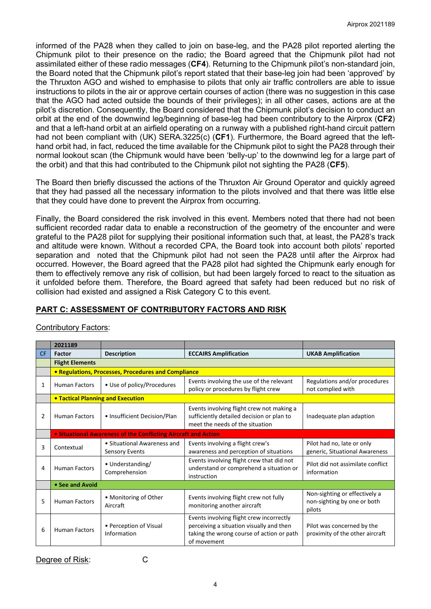informed of the PA28 when they called to join on base-leg, and the PA28 pilot reported alerting the Chipmunk pilot to their presence on the radio; the Board agreed that the Chipmunk pilot had not assimilated either of these radio messages (**CF4**). Returning to the Chipmunk pilot's non-standard join, the Board noted that the Chipmunk pilot's report stated that their base-leg join had been 'approved' by the Thruxton AGO and wished to emphasise to pilots that only air traffic controllers are able to issue instructions to pilots in the air or approve certain courses of action (there was no suggestion in this case that the AGO had acted outside the bounds of their privileges); in all other cases, actions are at the pilot's discretion. Consequently, the Board considered that the Chipmunk pilot's decision to conduct an orbit at the end of the downwind leg/beginning of base-leg had been contributory to the Airprox (**CF2**) and that a left-hand orbit at an airfield operating on a runway with a published right-hand circuit pattern had not been compliant with (UK) SERA.3225(c) (**CF1**). Furthermore, the Board agreed that the lefthand orbit had, in fact, reduced the time available for the Chipmunk pilot to sight the PA28 through their normal lookout scan (the Chipmunk would have been 'belly-up' to the downwind leg for a large part of the orbit) and that this had contributed to the Chipmunk pilot not sighting the PA28 (**CF5**).

The Board then briefly discussed the actions of the Thruxton Air Ground Operator and quickly agreed that they had passed all the necessary information to the pilots involved and that there was little else that they could have done to prevent the Airprox from occurring.

Finally, the Board considered the risk involved in this event. Members noted that there had not been sufficient recorded radar data to enable a reconstruction of the geometry of the encounter and were grateful to the PA28 pilot for supplying their positional information such that, at least, the PA28's track and altitude were known. Without a recorded CPA, the Board took into account both pilots' reported separation and noted that the Chipmunk pilot had not seen the PA28 until after the Airprox had occurred. However, the Board agreed that the PA28 pilot had sighted the Chipmunk early enough for them to effectively remove any risk of collision, but had been largely forced to react to the situation as it unfolded before them. Therefore, the Board agreed that safety had been reduced but no risk of collision had existed and assigned a Risk Category C to this event.

# **PART C: ASSESSMENT OF CONTRIBUTORY FACTORS AND RISK**

|     | 2021189                                                               |                                                      |                                                                                                                                                  |                                                                        |  |  |
|-----|-----------------------------------------------------------------------|------------------------------------------------------|--------------------------------------------------------------------------------------------------------------------------------------------------|------------------------------------------------------------------------|--|--|
| CF. | Factor                                                                | <b>Description</b>                                   | <b>ECCAIRS Amplification</b>                                                                                                                     | <b>UKAB Amplification</b>                                              |  |  |
|     | <b>Flight Elements</b>                                                |                                                      |                                                                                                                                                  |                                                                        |  |  |
|     | <b>• Regulations, Processes, Procedures and Compliance</b>            |                                                      |                                                                                                                                                  |                                                                        |  |  |
| 1   | <b>Human Factors</b>                                                  | • Use of policy/Procedures                           | Events involving the use of the relevant<br>policy or procedures by flight crew                                                                  | Regulations and/or procedures<br>not complied with                     |  |  |
|     | <b>• Tactical Planning and Execution</b>                              |                                                      |                                                                                                                                                  |                                                                        |  |  |
| 2   | <b>Human Factors</b>                                                  | • Insufficient Decision/Plan                         | Events involving flight crew not making a<br>sufficiently detailed decision or plan to<br>meet the needs of the situation                        | Inadequate plan adaption                                               |  |  |
|     | <b>.</b> Situational Awareness of the Conflicting Aircraft and Action |                                                      |                                                                                                                                                  |                                                                        |  |  |
| 3   | Contextual                                                            | • Situational Awareness and<br><b>Sensory Events</b> | Events involving a flight crew's<br>awareness and perception of situations                                                                       | Pilot had no, late or only<br>generic, Situational Awareness           |  |  |
| 4   | <b>Human Factors</b>                                                  | • Understanding/<br>Comprehension                    | Events involving flight crew that did not<br>understand or comprehend a situation or<br>instruction                                              | Pilot did not assimilate conflict<br>information                       |  |  |
|     | • See and Avoid                                                       |                                                      |                                                                                                                                                  |                                                                        |  |  |
| 5   | <b>Human Factors</b>                                                  | • Monitoring of Other<br>Aircraft                    | Events involving flight crew not fully<br>monitoring another aircraft                                                                            | Non-sighting or effectively a<br>non-sighting by one or both<br>pilots |  |  |
| 6   | <b>Human Factors</b>                                                  | • Perception of Visual<br>Information                | Events involving flight crew incorrectly<br>perceiving a situation visually and then<br>taking the wrong course of action or path<br>of movement | Pilot was concerned by the<br>proximity of the other aircraft          |  |  |

# Contributory Factors: